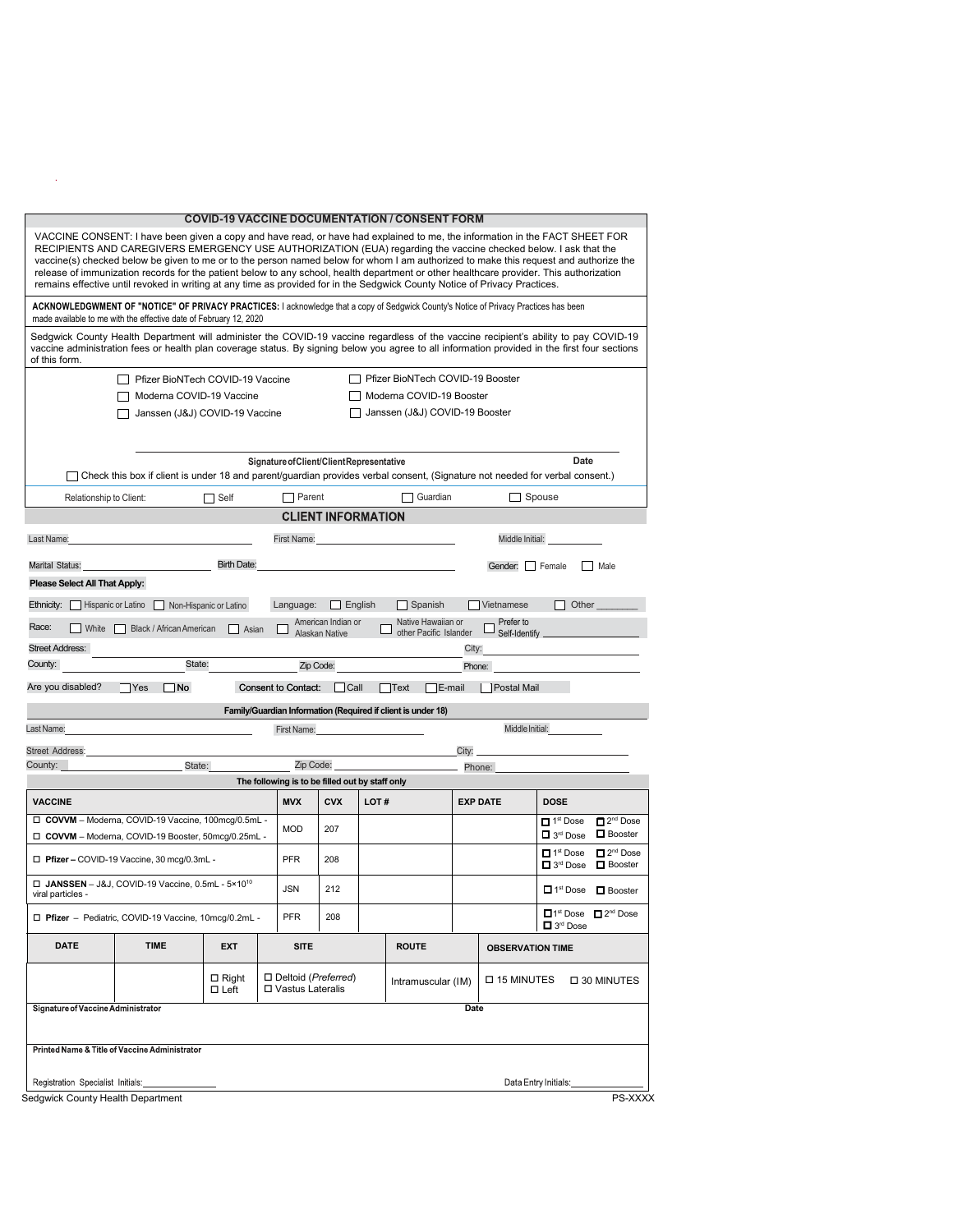|                                                                                                                                                                                                                                                                                                                                                                                                                                                                                                                                                                                                                                                                 |                                                                                                                                                                                                                                                                                       |                                |                                                 |                                             |                    | <b>COVID-19 VACCINE DOCUMENTATION / CONSENT FORM</b>         |                                |                              |                                                                    |                                                 |  |  |
|-----------------------------------------------------------------------------------------------------------------------------------------------------------------------------------------------------------------------------------------------------------------------------------------------------------------------------------------------------------------------------------------------------------------------------------------------------------------------------------------------------------------------------------------------------------------------------------------------------------------------------------------------------------------|---------------------------------------------------------------------------------------------------------------------------------------------------------------------------------------------------------------------------------------------------------------------------------------|--------------------------------|-------------------------------------------------|---------------------------------------------|--------------------|--------------------------------------------------------------|--------------------------------|------------------------------|--------------------------------------------------------------------|-------------------------------------------------|--|--|
| VACCINE CONSENT: I have been given a copy and have read, or have had explained to me, the information in the FACT SHEET FOR<br>RECIPIENTS AND CAREGIVERS EMERGENCY USE AUTHORIZATION (EUA) regarding the vaccine checked below. I ask that the<br>vaccine(s) checked below be given to me or to the person named below for whom I am authorized to make this request and authorize the<br>release of immunization records for the patient below to any school, health department or other healthcare provider. This authorization<br>remains effective until revoked in writing at any time as provided for in the Sedgwick County Notice of Privacy Practices. |                                                                                                                                                                                                                                                                                       |                                |                                                 |                                             |                    |                                                              |                                |                              |                                                                    |                                                 |  |  |
| ACKNOWLEDGWMENT OF "NOTICE" OF PRIVACY PRACTICES: I acknowledge that a copy of Sedgwick County's Notice of Privacy Practices has been<br>made available to me with the effective date of February 12, 2020                                                                                                                                                                                                                                                                                                                                                                                                                                                      |                                                                                                                                                                                                                                                                                       |                                |                                                 |                                             |                    |                                                              |                                |                              |                                                                    |                                                 |  |  |
| of this form.                                                                                                                                                                                                                                                                                                                                                                                                                                                                                                                                                                                                                                                   | Sedgwick County Health Department will administer the COVID-19 vaccine regardless of the vaccine recipient's ability to pay COVID-19<br>vaccine administration fees or health plan coverage status. By signing below you agree to all information provided in the first four sections |                                |                                                 |                                             |                    |                                                              |                                |                              |                                                                    |                                                 |  |  |
| □ Pfizer BioNTech COVID-19 Booster<br>□ Pfizer BioNTech COVID-19 Vaccine                                                                                                                                                                                                                                                                                                                                                                                                                                                                                                                                                                                        |                                                                                                                                                                                                                                                                                       |                                |                                                 |                                             |                    |                                                              |                                |                              |                                                                    |                                                 |  |  |
|                                                                                                                                                                                                                                                                                                                                                                                                                                                                                                                                                                                                                                                                 | Moderna COVID-19 Booster                                                                                                                                                                                                                                                              |                                |                                                 |                                             |                    |                                                              |                                |                              |                                                                    |                                                 |  |  |
|                                                                                                                                                                                                                                                                                                                                                                                                                                                                                                                                                                                                                                                                 | Janssen (J&J) COVID-19 Vaccine                                                                                                                                                                                                                                                        |                                |                                                 |                                             |                    | Janssen (J&J) COVID-19 Booster                               |                                |                              |                                                                    |                                                 |  |  |
| Signature of Client/Client Representative<br>Date                                                                                                                                                                                                                                                                                                                                                                                                                                                                                                                                                                                                               |                                                                                                                                                                                                                                                                                       |                                |                                                 |                                             |                    |                                                              |                                |                              |                                                                    |                                                 |  |  |
|                                                                                                                                                                                                                                                                                                                                                                                                                                                                                                                                                                                                                                                                 | Check this box if client is under 18 and parent/guardian provides verbal consent, (Signature not needed for verbal consent.)                                                                                                                                                          |                                |                                                 |                                             |                    |                                                              |                                |                              |                                                                    |                                                 |  |  |
| Relationship to Client:                                                                                                                                                                                                                                                                                                                                                                                                                                                                                                                                                                                                                                         |                                                                                                                                                                                                                                                                                       | $\sqcap$ Self                  | $\Box$ Parent                                   |                                             |                    | Guardian                                                     |                                |                              | Spouse                                                             |                                                 |  |  |
|                                                                                                                                                                                                                                                                                                                                                                                                                                                                                                                                                                                                                                                                 |                                                                                                                                                                                                                                                                                       |                                |                                                 | <b>CLIENT INFORMATION</b>                   |                    |                                                              |                                |                              |                                                                    |                                                 |  |  |
| Last Name:                                                                                                                                                                                                                                                                                                                                                                                                                                                                                                                                                                                                                                                      |                                                                                                                                                                                                                                                                                       |                                |                                                 |                                             | <b>First Name:</b> |                                                              |                                | Middle Initial:              |                                                                    |                                                 |  |  |
| Marital Status:                                                                                                                                                                                                                                                                                                                                                                                                                                                                                                                                                                                                                                                 |                                                                                                                                                                                                                                                                                       | <b>Birth Date:</b>             |                                                 |                                             |                    |                                                              |                                | Gender: Female               |                                                                    | Male                                            |  |  |
| Please Select All That Apply:                                                                                                                                                                                                                                                                                                                                                                                                                                                                                                                                                                                                                                   |                                                                                                                                                                                                                                                                                       |                                |                                                 |                                             |                    |                                                              |                                |                              |                                                                    |                                                 |  |  |
|                                                                                                                                                                                                                                                                                                                                                                                                                                                                                                                                                                                                                                                                 | Ethnicity:   Hispanic or Latino   Non-Hispanic or Latino                                                                                                                                                                                                                              |                                | Language:                                       | $\Box$ English                              |                    | Spanish                                                      |                                | Vietnamese                   | Other                                                              |                                                 |  |  |
| Race:<br>White I                                                                                                                                                                                                                                                                                                                                                                                                                                                                                                                                                                                                                                                | Black / African American                                                                                                                                                                                                                                                              | Asian                          |                                                 | American Indian or<br><b>Alaskan Native</b> |                    | Native Hawaiian or<br>other Pacific Islander                 |                                | Prefer to<br>Self-Identify _ |                                                                    |                                                 |  |  |
| <b>Street Address:</b>                                                                                                                                                                                                                                                                                                                                                                                                                                                                                                                                                                                                                                          |                                                                                                                                                                                                                                                                                       |                                |                                                 |                                             |                    |                                                              | City:                          |                              |                                                                    |                                                 |  |  |
| County:                                                                                                                                                                                                                                                                                                                                                                                                                                                                                                                                                                                                                                                         | State:                                                                                                                                                                                                                                                                                |                                |                                                 | Zip Code:                                   |                    |                                                              | Phone:                         |                              |                                                                    |                                                 |  |  |
| Are you disabled?                                                                                                                                                                                                                                                                                                                                                                                                                                                                                                                                                                                                                                               | ∏No<br>Yes                                                                                                                                                                                                                                                                            |                                | <b>Consent to Contact:</b>                      | $\Box$ Call                                 |                    | $\neg$ E-mail<br>$\bigcap$ Text                              |                                | <b>Postal Mail</b>           |                                                                    |                                                 |  |  |
|                                                                                                                                                                                                                                                                                                                                                                                                                                                                                                                                                                                                                                                                 |                                                                                                                                                                                                                                                                                       |                                |                                                 |                                             |                    | Family/Guardian Information (Required if client is under 18) |                                |                              |                                                                    |                                                 |  |  |
| Last Name:                                                                                                                                                                                                                                                                                                                                                                                                                                                                                                                                                                                                                                                      |                                                                                                                                                                                                                                                                                       |                                | First Name:                                     |                                             |                    |                                                              |                                | Middle Initial:              |                                                                    |                                                 |  |  |
| <b>Street Address:</b><br>County:                                                                                                                                                                                                                                                                                                                                                                                                                                                                                                                                                                                                                               |                                                                                                                                                                                                                                                                                       | Zip Code:                      |                                                 |                                             | City:<br>Phone:    |                                                              |                                |                              |                                                                    |                                                 |  |  |
|                                                                                                                                                                                                                                                                                                                                                                                                                                                                                                                                                                                                                                                                 | State:                                                                                                                                                                                                                                                                                |                                | The following is to be filled out by staff only |                                             |                    |                                                              |                                |                              |                                                                    |                                                 |  |  |
| <b>VACCINE</b>                                                                                                                                                                                                                                                                                                                                                                                                                                                                                                                                                                                                                                                  |                                                                                                                                                                                                                                                                                       |                                | <b>MVX</b>                                      | <b>CVX</b>                                  | LOT#               |                                                              | <b>DOSE</b><br><b>EXP DATE</b> |                              |                                                                    |                                                 |  |  |
| □ COVVM - Moderna, COVID-19 Vaccine, 100mcg/0.5mL -<br>□ COVVM - Moderna, COVID-19 Booster, 50mcg/0.25mL -                                                                                                                                                                                                                                                                                                                                                                                                                                                                                                                                                      |                                                                                                                                                                                                                                                                                       |                                |                                                 | 207                                         |                    |                                                              |                                |                              | $\Box$ 1 <sup>st</sup> Dose<br>$\Box$ 3 <sup>rd</sup> Dose         | $\Box$ 2 <sup>nd</sup> Dose<br><b>D</b> Booster |  |  |
| □ Pfizer - COVID-19 Vaccine, 30 mcg/0.3mL -                                                                                                                                                                                                                                                                                                                                                                                                                                                                                                                                                                                                                     |                                                                                                                                                                                                                                                                                       |                                |                                                 | 208                                         |                    |                                                              |                                |                              | $\blacksquare$ 1 <sup>st</sup> Dose<br>$\Box$ 3 <sup>rd</sup> Dose | $\Box$ 2 <sup>nd</sup> Dose<br><b>D</b> Booster |  |  |
| $\Box$ JANSSEN - J&J, COVID-19 Vaccine, 0.5mL - 5×10 <sup>10</sup><br>viral particles -                                                                                                                                                                                                                                                                                                                                                                                                                                                                                                                                                                         |                                                                                                                                                                                                                                                                                       |                                |                                                 | 212                                         |                    |                                                              |                                |                              |                                                                    | □ 1 <sup>st</sup> Dose □ Booster                |  |  |
| □ Pfizer - Pediatric, COVID-19 Vaccine, 10mcg/0.2mL -                                                                                                                                                                                                                                                                                                                                                                                                                                                                                                                                                                                                           |                                                                                                                                                                                                                                                                                       |                                | <b>PFR</b>                                      | 208                                         |                    |                                                              |                                |                              | □ 3 <sup>rd</sup> Dose                                             | □1 <sup>st</sup> Dose □ 2 <sup>nd</sup> Dose    |  |  |
| <b>DATE</b>                                                                                                                                                                                                                                                                                                                                                                                                                                                                                                                                                                                                                                                     | <b>TIME</b>                                                                                                                                                                                                                                                                           | <b>EXT</b>                     | <b>SITE</b>                                     |                                             |                    | <b>ROUTE</b>                                                 |                                | <b>OBSERVATION TIME</b>      |                                                                    |                                                 |  |  |
|                                                                                                                                                                                                                                                                                                                                                                                                                                                                                                                                                                                                                                                                 |                                                                                                                                                                                                                                                                                       | $\Box$ Right<br>$\square$ Left | □ Deltoid (Preferred)<br>□ Vastus Lateralis     |                                             |                    | Intramuscular (IM)                                           |                                | □ 15 MINUTES<br>□ 30 MINUTES |                                                                    |                                                 |  |  |
| Signature of Vaccine Administrator                                                                                                                                                                                                                                                                                                                                                                                                                                                                                                                                                                                                                              |                                                                                                                                                                                                                                                                                       |                                |                                                 |                                             |                    |                                                              | Date                           |                              |                                                                    |                                                 |  |  |
|                                                                                                                                                                                                                                                                                                                                                                                                                                                                                                                                                                                                                                                                 | Printed Name & Title of Vaccine Administrator                                                                                                                                                                                                                                         |                                |                                                 |                                             |                    |                                                              |                                |                              |                                                                    |                                                 |  |  |
| Registration Specialist Initials:                                                                                                                                                                                                                                                                                                                                                                                                                                                                                                                                                                                                                               |                                                                                                                                                                                                                                                                                       |                                |                                                 |                                             |                    |                                                              |                                |                              | Data Entry Initials:                                               |                                                 |  |  |
| Sedgwick County Health Department                                                                                                                                                                                                                                                                                                                                                                                                                                                                                                                                                                                                                               |                                                                                                                                                                                                                                                                                       |                                |                                                 |                                             |                    |                                                              |                                |                              |                                                                    | PS-XXXX                                         |  |  |